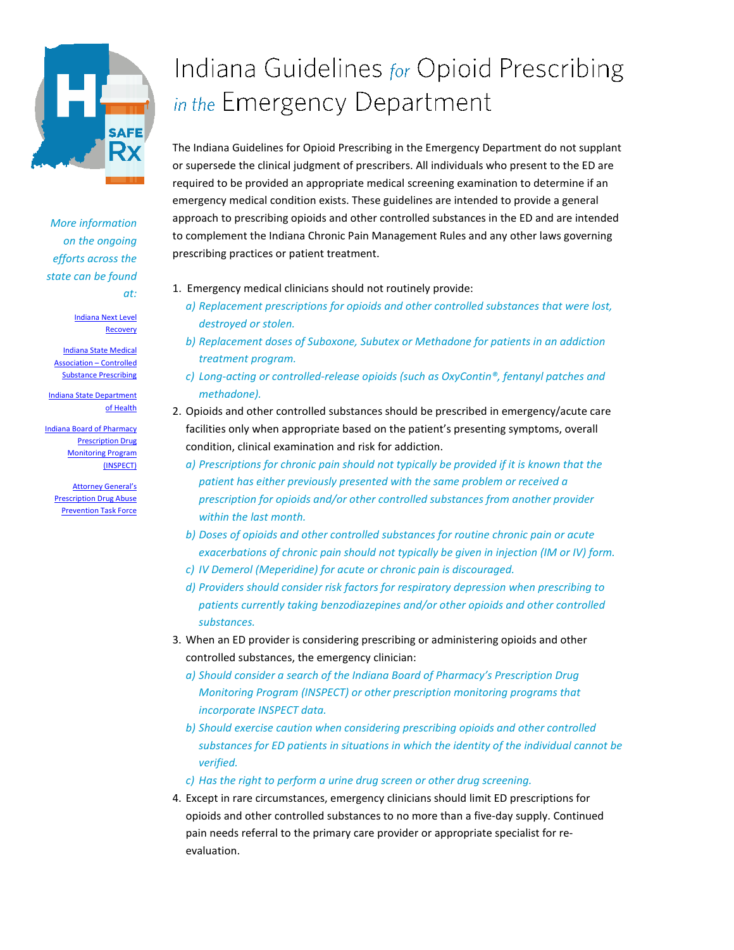

*More information on the ongoing efforts across the state can be found at:* 

> [Indiana Next Level](http://www.in.gov/gtfdetp/index.htm)  [Recovery](http://www.in.gov/gtfdetp/index.htm)

[Indiana State Medical](http://www.ismanet.org/ISMA/Education/Opioid_Prescribing_Resources/ISMA/Education/opioid-prescribing.aspx)  [Association –](http://www.ismanet.org/ISMA/Education/Opioid_Prescribing_Resources/ISMA/Education/opioid-prescribing.aspx) Controlled [Substance Prescribing](http://www.ismanet.org/ISMA/Education/Opioid_Prescribing_Resources/ISMA/Education/opioid-prescribing.aspx)

[Indiana State Department](http://www.in.gov/isdh/27358.htm)  [of Health](http://www.in.gov/isdh/27358.htm)

[Indiana Board of Pharmacy](http://www.in.gov/pla/inspect/)  [Prescription Drug](http://www.in.gov/pla/inspect/)  [Monitoring Program](http://www.in.gov/pla/inspect/)  [\(INSPECT\)](http://www.in.gov/pla/inspect/)

[Attorney General's](http://www.in.gov/bitterpill/about.html)  [Prescription Drug Abuse](http://www.in.gov/bitterpill/about.html)  [Prevention Task Force](http://www.in.gov/bitterpill/about.html)

## Indiana Guidelines for Opioid Prescribing in the Emergency Department

The Indiana Guidelines for Opioid Prescribing in the Emergency Department do not supplant or supersede the clinical judgment of prescribers. All individuals who present to the ED are required to be provided an appropriate medical screening examination to determine if an emergency medical condition exists. These guidelines are intended to provide a general approach to prescribing opioids and other controlled substances in the ED and are intended to complement the Indiana Chronic Pain Management Rules and any other laws governing prescribing practices or patient treatment.

- 1. Emergency medical clinicians should not routinely provide:
	- *a) Replacement prescriptions for opioids and other controlled substances that were lost, destroyed or stolen.*
	- *b) Replacement doses of Suboxone, Subutex or Methadone for patients in an addiction treatment program.*
	- *c) Long-acting or controlled-release opioids (such as OxyContin®, fentanyl patches and methadone).*
- 2. Opioids and other controlled substances should be prescribed in emergency/acute care facilities only when appropriate based on the patient's presenting symptoms, overall condition, clinical examination and risk for addiction.
	- *a) Prescriptions for chronic pain should not typically be provided if it is known that the patient has either previously presented with the same problem or received a prescription for opioids and/or other controlled substances from another provider within the last month.*
	- *b) Doses of opioids and other controlled substances for routine chronic pain or acute exacerbations of chronic pain should not typically be given in injection (IM or IV) form.*
	- *c) IV Demerol (Meperidine) for acute or chronic pain is discouraged.*
	- *d) Providers should consider risk factors for respiratory depression when prescribing to patients currently taking benzodiazepines and/or other opioids and other controlled substances.*
- 3. When an ED provider is considering prescribing or administering opioids and other controlled substances, the emergency clinician:
	- *a) Should consider a search of the Indiana Board of Pharmacy's Prescription Drug Monitoring Program (INSPECT) or other prescription monitoring programs that incorporate INSPECT data.*
	- *b) Should exercise caution when considering prescribing opioids and other controlled substances for ED patients in situations in which the identity of the individual cannot be verified.*
	- *c) Has the right to perform a urine drug screen or other drug screening.*
- 4. Except in rare circumstances, emergency clinicians should limit ED prescriptions for opioids and other controlled substances to no more than a five-day supply. Continued pain needs referral to the primary care provider or appropriate specialist for reevaluation.